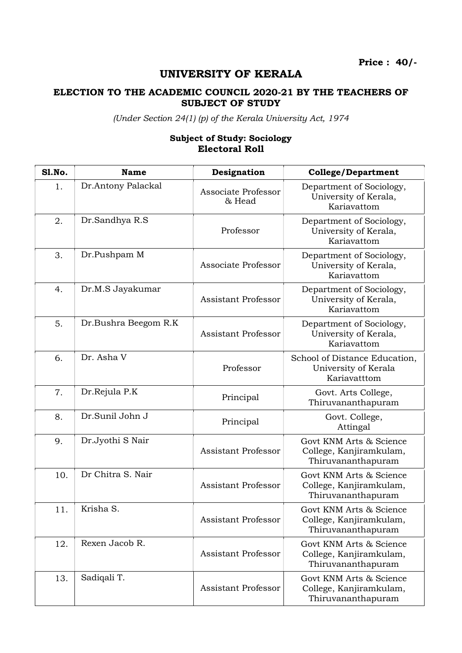## UNIVERSITY OF KERALA

## ELECTION TO THE ACADEMIC COUNCIL 2020-21 BY THE TEACHERS OF SUBJECT OF STUDY

(Under Section 24(1) (p) of the Kerala University Act, 1974

## Subject of Study: Sociology Electoral Roll

| <b>S1.No.</b> | <b>Name</b>          | Designation                   | <b>College/Department</b>                                                |
|---------------|----------------------|-------------------------------|--------------------------------------------------------------------------|
| 1.            | Dr.Antony Palackal   | Associate Professor<br>& Head | Department of Sociology,<br>University of Kerala,<br>Kariavattom         |
| 2.            | Dr.Sandhya R.S       | Professor                     | Department of Sociology,<br>University of Kerala,<br>Kariavattom         |
| 3.            | Dr.Pushpam M         | Associate Professor           | Department of Sociology,<br>University of Kerala,<br>Kariavattom         |
| 4.            | Dr.M.S Jayakumar     | <b>Assistant Professor</b>    | Department of Sociology,<br>University of Kerala,<br>Kariavattom         |
| 5.            | Dr.Bushra Beegom R.K | <b>Assistant Professor</b>    | Department of Sociology,<br>University of Kerala,<br>Kariavattom         |
| 6.            | Dr. Asha V           | Professor                     | School of Distance Education,<br>University of Kerala<br>Kariavatttom    |
| 7.            | Dr.Rejula P.K        | Principal                     | Govt. Arts College,<br>Thiruvananthapuram                                |
| 8.            | Dr.Sunil John J      | Principal                     | Govt. College,<br>Attingal                                               |
| 9.            | Dr.Jyothi S Nair     | <b>Assistant Professor</b>    | Govt KNM Arts & Science<br>College, Kanjiramkulam,<br>Thiruvananthapuram |
| 10.           | Dr Chitra S. Nair    | <b>Assistant Professor</b>    | Govt KNM Arts & Science<br>College, Kanjiramkulam,<br>Thiruvananthapuram |
| 11.           | Krisha S.            | <b>Assistant Professor</b>    | Govt KNM Arts & Science<br>College, Kanjiramkulam,<br>Thiruvananthapuram |
| 12.           | Rexen Jacob R.       | <b>Assistant Professor</b>    | Govt KNM Arts & Science<br>College, Kanjiramkulam,<br>Thiruvananthapuram |
| 13.           | Sadiqali T.          | Assistant Professor           | Govt KNM Arts & Science<br>College, Kanjiramkulam,<br>Thiruvananthapuram |